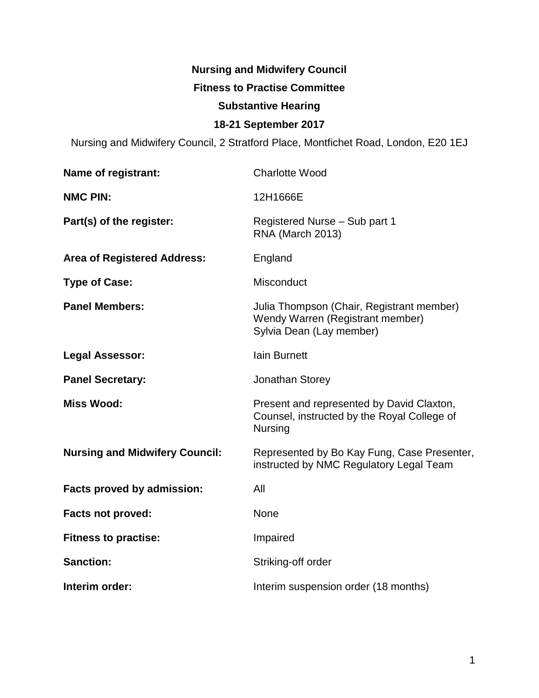# **Nursing and Midwifery Council Fitness to Practise Committee Substantive Hearing 18-21 September 2017**

Nursing and Midwifery Council, 2 Stratford Place, Montfichet Road, London, E20 1EJ

| Name of registrant:                   | <b>Charlotte Wood</b>                                                                                      |
|---------------------------------------|------------------------------------------------------------------------------------------------------------|
| <b>NMC PIN:</b>                       | 12H1666E                                                                                                   |
| Part(s) of the register:              | Registered Nurse - Sub part 1<br><b>RNA (March 2013)</b>                                                   |
| <b>Area of Registered Address:</b>    | England                                                                                                    |
| <b>Type of Case:</b>                  | <b>Misconduct</b>                                                                                          |
| <b>Panel Members:</b>                 | Julia Thompson (Chair, Registrant member)<br>Wendy Warren (Registrant member)<br>Sylvia Dean (Lay member)  |
| <b>Legal Assessor:</b>                | lain Burnett                                                                                               |
| <b>Panel Secretary:</b>               | Jonathan Storey                                                                                            |
| <b>Miss Wood:</b>                     | Present and represented by David Claxton,<br>Counsel, instructed by the Royal College of<br><b>Nursing</b> |
| <b>Nursing and Midwifery Council:</b> | Represented by Bo Kay Fung, Case Presenter,<br>instructed by NMC Regulatory Legal Team                     |
| Facts proved by admission:            | All                                                                                                        |
| <b>Facts not proved:</b>              | None                                                                                                       |
| <b>Fitness to practise:</b>           | Impaired                                                                                                   |
| <b>Sanction:</b>                      | Striking-off order                                                                                         |
| Interim order:                        | Interim suspension order (18 months)                                                                       |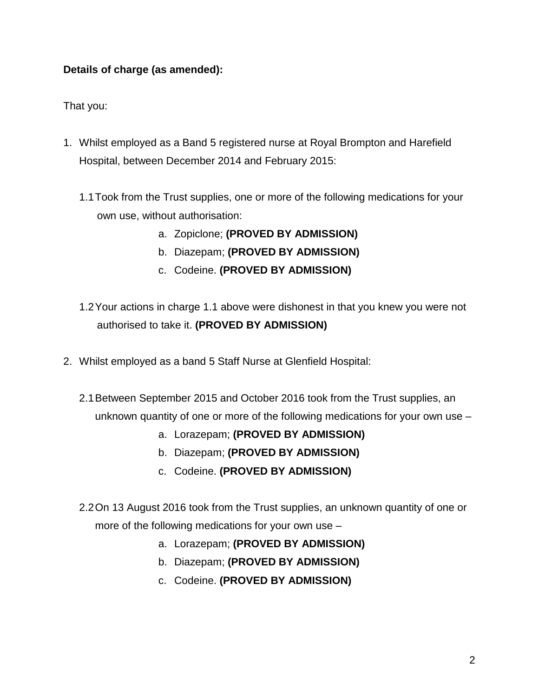# **Details of charge (as amended):**

That you:

- 1. Whilst employed as a Band 5 registered nurse at Royal Brompton and Harefield Hospital, between December 2014 and February 2015:
	- 1.1Took from the Trust supplies, one or more of the following medications for your own use, without authorisation:
		- a. Zopiclone; **(PROVED BY ADMISSION)**
		- b. Diazepam; **(PROVED BY ADMISSION)**
		- c. Codeine. **(PROVED BY ADMISSION)**
	- 1.2Your actions in charge 1.1 above were dishonest in that you knew you were not authorised to take it. **(PROVED BY ADMISSION)**
- 2. Whilst employed as a band 5 Staff Nurse at Glenfield Hospital:
	- 2.1Between September 2015 and October 2016 took from the Trust supplies, an unknown quantity of one or more of the following medications for your own use –
		- a. Lorazepam; **(PROVED BY ADMISSION)**
		- b. Diazepam; **(PROVED BY ADMISSION)**
		- c. Codeine. **(PROVED BY ADMISSION)**
	- 2.2On 13 August 2016 took from the Trust supplies, an unknown quantity of one or more of the following medications for your own use –
		- a. Lorazepam; **(PROVED BY ADMISSION)**
		- b. Diazepam; **(PROVED BY ADMISSION)**
		- c. Codeine. **(PROVED BY ADMISSION)**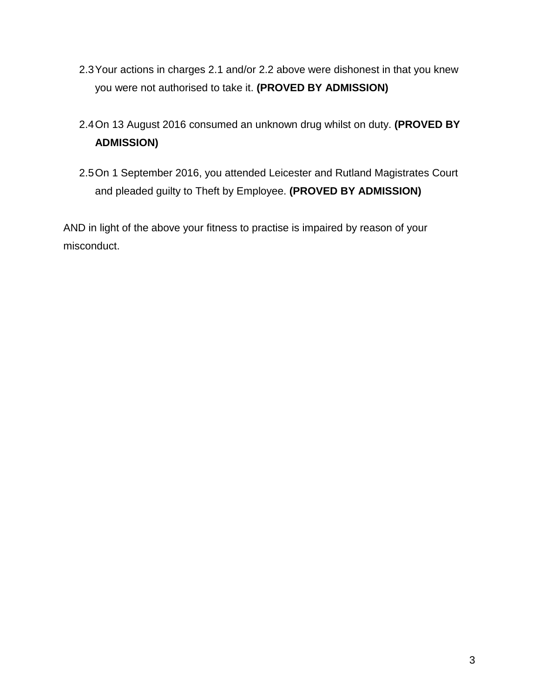- 2.3Your actions in charges 2.1 and/or 2.2 above were dishonest in that you knew you were not authorised to take it. **(PROVED BY ADMISSION)**
- 2.4On 13 August 2016 consumed an unknown drug whilst on duty. **(PROVED BY ADMISSION)**
- 2.5On 1 September 2016, you attended Leicester and Rutland Magistrates Court and pleaded guilty to Theft by Employee. **(PROVED BY ADMISSION)**

AND in light of the above your fitness to practise is impaired by reason of your misconduct.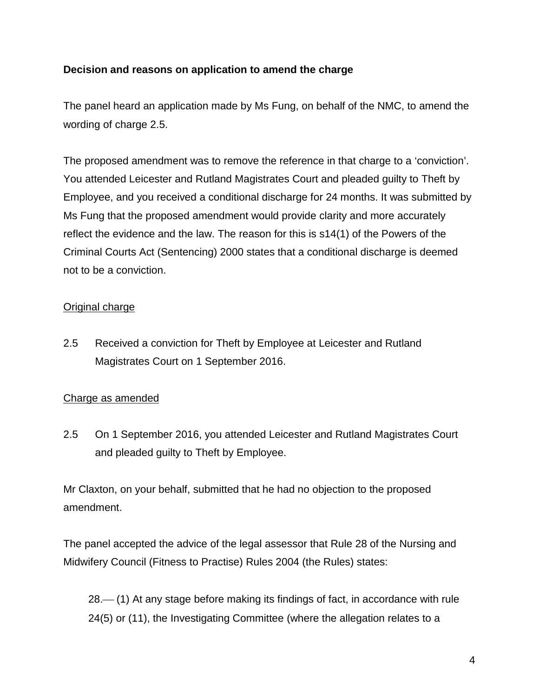# **Decision and reasons on application to amend the charge**

The panel heard an application made by Ms Fung, on behalf of the NMC, to amend the wording of charge 2.5.

The proposed amendment was to remove the reference in that charge to a 'conviction'. You attended Leicester and Rutland Magistrates Court and pleaded guilty to Theft by Employee, and you received a conditional discharge for 24 months. It was submitted by Ms Fung that the proposed amendment would provide clarity and more accurately reflect the evidence and the law. The reason for this is s14(1) of the Powers of the Criminal Courts Act (Sentencing) 2000 states that a conditional discharge is deemed not to be a conviction.

# Original charge

2.5 Received a conviction for Theft by Employee at Leicester and Rutland Magistrates Court on 1 September 2016.

# Charge as amended

2.5 On 1 September 2016, you attended Leicester and Rutland Magistrates Court and pleaded guilty to Theft by Employee.

Mr Claxton, on your behalf, submitted that he had no objection to the proposed amendment.

The panel accepted the advice of the legal assessor that Rule 28 of the Nursing and Midwifery Council (Fitness to Practise) Rules 2004 (the Rules) states:

28.—(1) At any stage before making its findings of fact, in accordance with rule 24(5) or (11), the Investigating Committee (where the allegation relates to a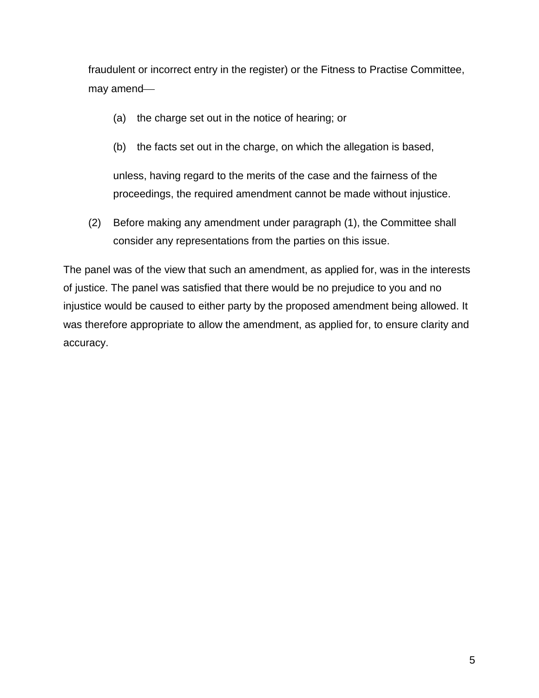fraudulent or incorrect entry in the register) or the Fitness to Practise Committee, may amend

- (a) the charge set out in the notice of hearing; or
- (b) the facts set out in the charge, on which the allegation is based,

unless, having regard to the merits of the case and the fairness of the proceedings, the required amendment cannot be made without injustice.

(2) Before making any amendment under paragraph (1), the Committee shall consider any representations from the parties on this issue.

The panel was of the view that such an amendment, as applied for, was in the interests of justice. The panel was satisfied that there would be no prejudice to you and no injustice would be caused to either party by the proposed amendment being allowed. It was therefore appropriate to allow the amendment, as applied for, to ensure clarity and accuracy.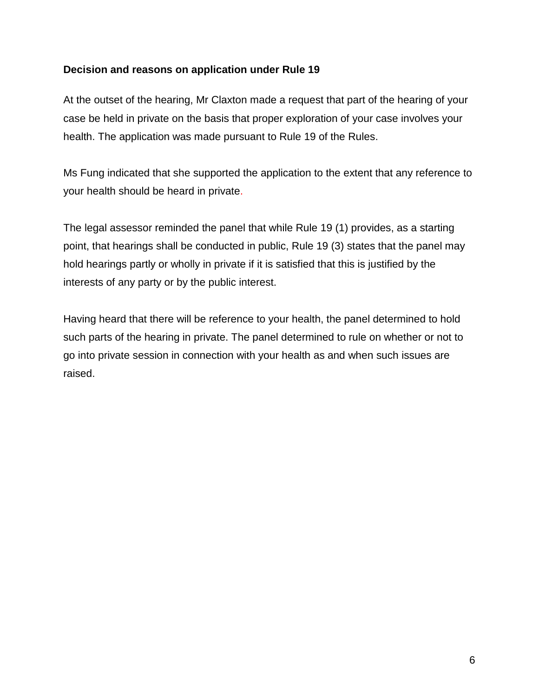#### **Decision and reasons on application under Rule 19**

At the outset of the hearing, Mr Claxton made a request that part of the hearing of your case be held in private on the basis that proper exploration of your case involves your health. The application was made pursuant to Rule 19 of the Rules.

Ms Fung indicated that she supported the application to the extent that any reference to your health should be heard in private.

The legal assessor reminded the panel that while Rule 19 (1) provides, as a starting point, that hearings shall be conducted in public, Rule 19 (3) states that the panel may hold hearings partly or wholly in private if it is satisfied that this is justified by the interests of any party or by the public interest.

Having heard that there will be reference to your health, the panel determined to hold such parts of the hearing in private. The panel determined to rule on whether or not to go into private session in connection with your health as and when such issues are raised.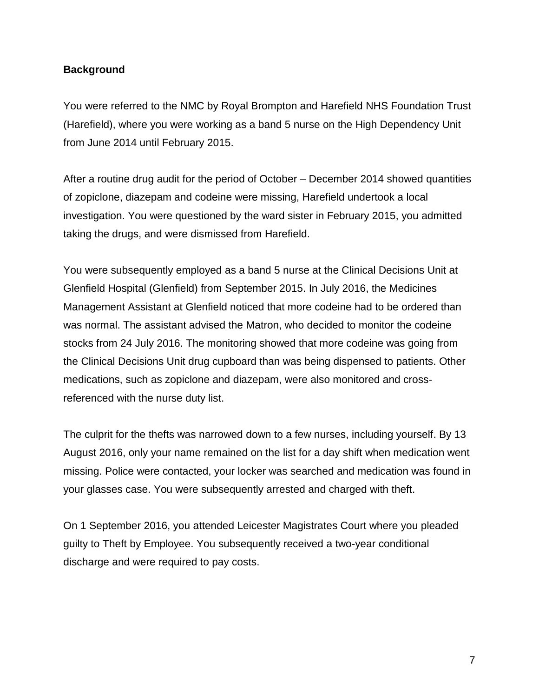#### **Background**

You were referred to the NMC by Royal Brompton and Harefield NHS Foundation Trust (Harefield), where you were working as a band 5 nurse on the High Dependency Unit from June 2014 until February 2015.

After a routine drug audit for the period of October – December 2014 showed quantities of zopiclone, diazepam and codeine were missing, Harefield undertook a local investigation. You were questioned by the ward sister in February 2015, you admitted taking the drugs, and were dismissed from Harefield.

You were subsequently employed as a band 5 nurse at the Clinical Decisions Unit at Glenfield Hospital (Glenfield) from September 2015. In July 2016, the Medicines Management Assistant at Glenfield noticed that more codeine had to be ordered than was normal. The assistant advised the Matron, who decided to monitor the codeine stocks from 24 July 2016. The monitoring showed that more codeine was going from the Clinical Decisions Unit drug cupboard than was being dispensed to patients. Other medications, such as zopiclone and diazepam, were also monitored and crossreferenced with the nurse duty list.

The culprit for the thefts was narrowed down to a few nurses, including yourself. By 13 August 2016, only your name remained on the list for a day shift when medication went missing. Police were contacted, your locker was searched and medication was found in your glasses case. You were subsequently arrested and charged with theft.

On 1 September 2016, you attended Leicester Magistrates Court where you pleaded guilty to Theft by Employee. You subsequently received a two-year conditional discharge and were required to pay costs.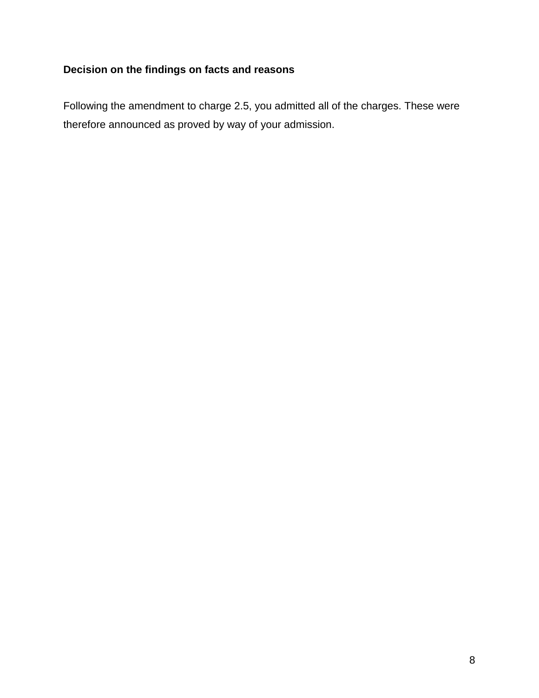# **Decision on the findings on facts and reasons**

Following the amendment to charge 2.5, you admitted all of the charges. These were therefore announced as proved by way of your admission.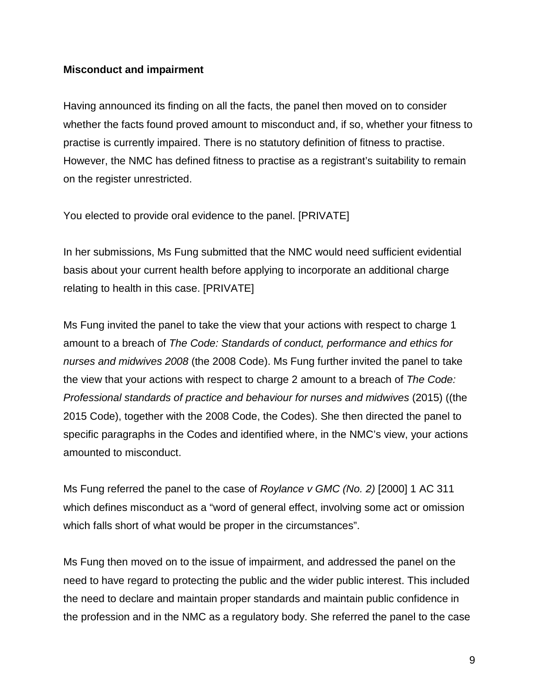#### **Misconduct and impairment**

Having announced its finding on all the facts, the panel then moved on to consider whether the facts found proved amount to misconduct and, if so, whether your fitness to practise is currently impaired. There is no statutory definition of fitness to practise. However, the NMC has defined fitness to practise as a registrant's suitability to remain on the register unrestricted.

You elected to provide oral evidence to the panel. [PRIVATE]

In her submissions, Ms Fung submitted that the NMC would need sufficient evidential basis about your current health before applying to incorporate an additional charge relating to health in this case. [PRIVATE]

Ms Fung invited the panel to take the view that your actions with respect to charge 1 amount to a breach of *The Code: Standards of conduct, performance and ethics for nurses and midwives 2008* (the 2008 Code). Ms Fung further invited the panel to take the view that your actions with respect to charge 2 amount to a breach of *The Code: Professional standards of practice and behaviour for nurses and midwives* (2015) ((the 2015 Code), together with the 2008 Code, the Codes). She then directed the panel to specific paragraphs in the Codes and identified where, in the NMC's view, your actions amounted to misconduct.

Ms Fung referred the panel to the case of *Roylance v GMC (No. 2)* [2000] 1 AC 311 which defines misconduct as a "word of general effect, involving some act or omission which falls short of what would be proper in the circumstances".

Ms Fung then moved on to the issue of impairment, and addressed the panel on the need to have regard to protecting the public and the wider public interest. This included the need to declare and maintain proper standards and maintain public confidence in the profession and in the NMC as a regulatory body. She referred the panel to the case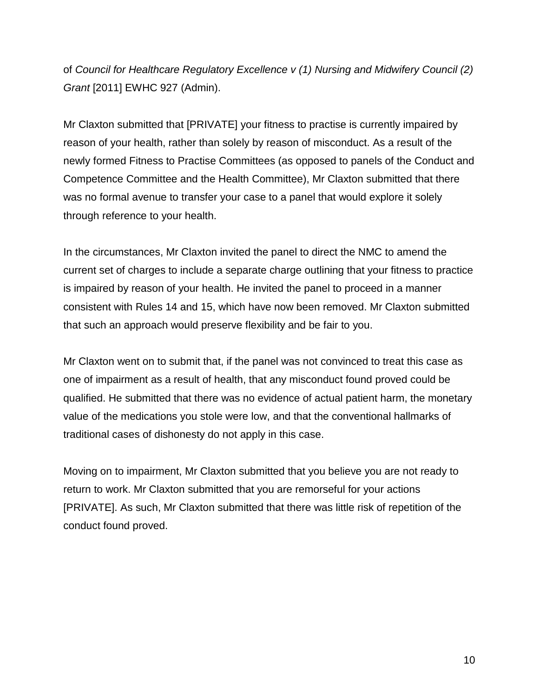of *Council for Healthcare Regulatory Excellence v (1) Nursing and Midwifery Council (2) Grant* [2011] EWHC 927 (Admin).

Mr Claxton submitted that [PRIVATE] your fitness to practise is currently impaired by reason of your health, rather than solely by reason of misconduct. As a result of the newly formed Fitness to Practise Committees (as opposed to panels of the Conduct and Competence Committee and the Health Committee), Mr Claxton submitted that there was no formal avenue to transfer your case to a panel that would explore it solely through reference to your health.

In the circumstances, Mr Claxton invited the panel to direct the NMC to amend the current set of charges to include a separate charge outlining that your fitness to practice is impaired by reason of your health. He invited the panel to proceed in a manner consistent with Rules 14 and 15, which have now been removed. Mr Claxton submitted that such an approach would preserve flexibility and be fair to you.

Mr Claxton went on to submit that, if the panel was not convinced to treat this case as one of impairment as a result of health, that any misconduct found proved could be qualified. He submitted that there was no evidence of actual patient harm, the monetary value of the medications you stole were low, and that the conventional hallmarks of traditional cases of dishonesty do not apply in this case.

Moving on to impairment, Mr Claxton submitted that you believe you are not ready to return to work. Mr Claxton submitted that you are remorseful for your actions [PRIVATE]. As such, Mr Claxton submitted that there was little risk of repetition of the conduct found proved.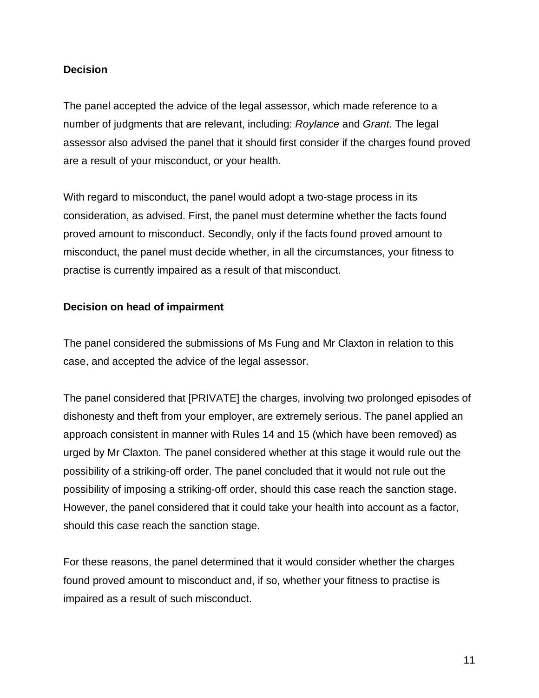#### **Decision**

The panel accepted the advice of the legal assessor, which made reference to a number of judgments that are relevant, including: *Roylance* and *Grant*. The legal assessor also advised the panel that it should first consider if the charges found proved are a result of your misconduct, or your health.

With regard to misconduct, the panel would adopt a two-stage process in its consideration, as advised. First, the panel must determine whether the facts found proved amount to misconduct. Secondly, only if the facts found proved amount to misconduct, the panel must decide whether, in all the circumstances, your fitness to practise is currently impaired as a result of that misconduct.

#### **Decision on head of impairment**

The panel considered the submissions of Ms Fung and Mr Claxton in relation to this case, and accepted the advice of the legal assessor.

The panel considered that [PRIVATE] the charges, involving two prolonged episodes of dishonesty and theft from your employer, are extremely serious. The panel applied an approach consistent in manner with Rules 14 and 15 (which have been removed) as urged by Mr Claxton. The panel considered whether at this stage it would rule out the possibility of a striking-off order. The panel concluded that it would not rule out the possibility of imposing a striking-off order, should this case reach the sanction stage. However, the panel considered that it could take your health into account as a factor, should this case reach the sanction stage.

For these reasons, the panel determined that it would consider whether the charges found proved amount to misconduct and, if so, whether your fitness to practise is impaired as a result of such misconduct.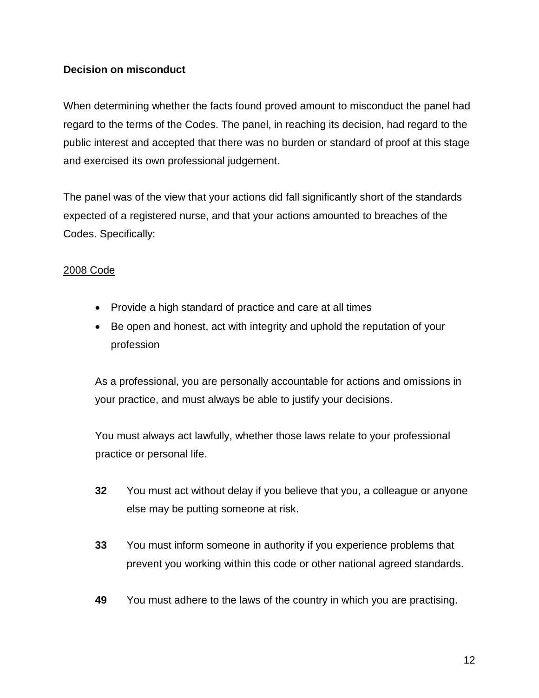# **Decision on misconduct**

When determining whether the facts found proved amount to misconduct the panel had regard to the terms of the Codes. The panel, in reaching its decision, had regard to the public interest and accepted that there was no burden or standard of proof at this stage and exercised its own professional judgement.

The panel was of the view that your actions did fall significantly short of the standards expected of a registered nurse, and that your actions amounted to breaches of the Codes. Specifically:

# 2008 Code

- Provide a high standard of practice and care at all times
- Be open and honest, act with integrity and uphold the reputation of your profession

As a professional, you are personally accountable for actions and omissions in your practice, and must always be able to justify your decisions.

You must always act lawfully, whether those laws relate to your professional practice or personal life.

- **32** You must act without delay if you believe that you, a colleague or anyone else may be putting someone at risk.
- **33** You must inform someone in authority if you experience problems that prevent you working within this code or other national agreed standards.
- **49** You must adhere to the laws of the country in which you are practising.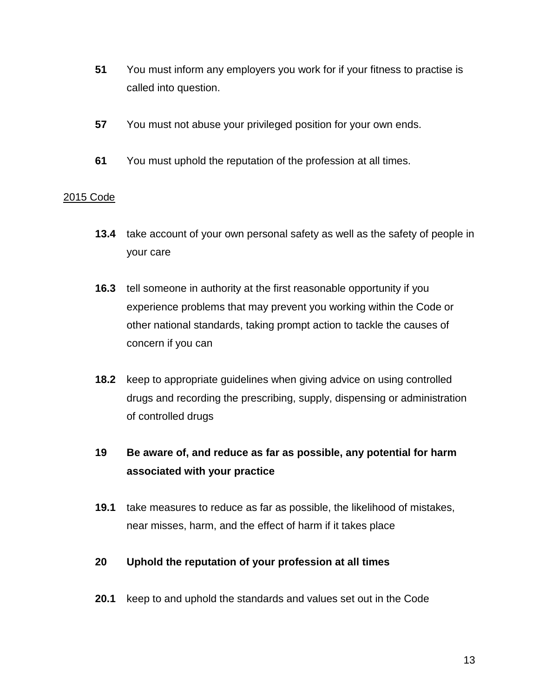- **51** You must inform any employers you work for if your fitness to practise is called into question.
- **57** You must not abuse your privileged position for your own ends.
- **61** You must uphold the reputation of the profession at all times.

#### 2015 Code

- **13.4** take account of your own personal safety as well as the safety of people in your care
- **16.3** tell someone in authority at the first reasonable opportunity if you experience problems that may prevent you working within the Code or other national standards, taking prompt action to tackle the causes of concern if you can
- **18.2** keep to appropriate guidelines when giving advice on using controlled drugs and recording the prescribing, supply, dispensing or administration of controlled drugs

# **19 Be aware of, and reduce as far as possible, any potential for harm associated with your practice**

**19.1** take measures to reduce as far as possible, the likelihood of mistakes, near misses, harm, and the effect of harm if it takes place

#### **20 Uphold the reputation of your profession at all times**

**20.1** keep to and uphold the standards and values set out in the Code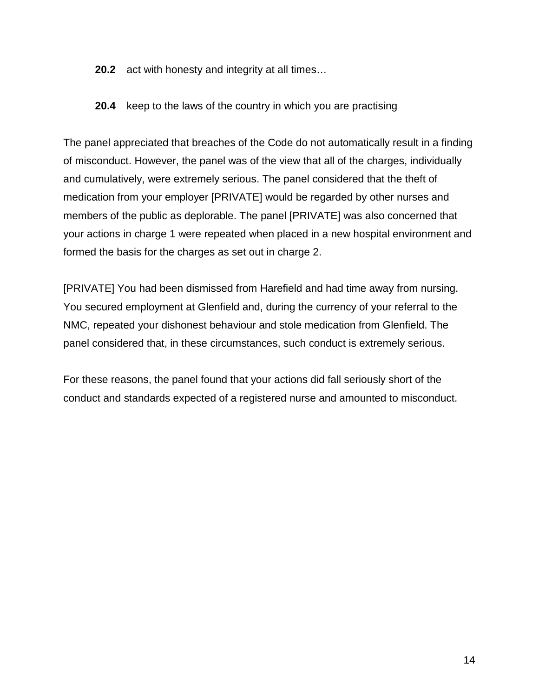- **20.2** act with honesty and integrity at all times…
- **20.4** keep to the laws of the country in which you are practising

The panel appreciated that breaches of the Code do not automatically result in a finding of misconduct. However, the panel was of the view that all of the charges, individually and cumulatively, were extremely serious. The panel considered that the theft of medication from your employer [PRIVATE] would be regarded by other nurses and members of the public as deplorable. The panel [PRIVATE] was also concerned that your actions in charge 1 were repeated when placed in a new hospital environment and formed the basis for the charges as set out in charge 2.

[PRIVATE] You had been dismissed from Harefield and had time away from nursing. You secured employment at Glenfield and, during the currency of your referral to the NMC, repeated your dishonest behaviour and stole medication from Glenfield. The panel considered that, in these circumstances, such conduct is extremely serious.

For these reasons, the panel found that your actions did fall seriously short of the conduct and standards expected of a registered nurse and amounted to misconduct.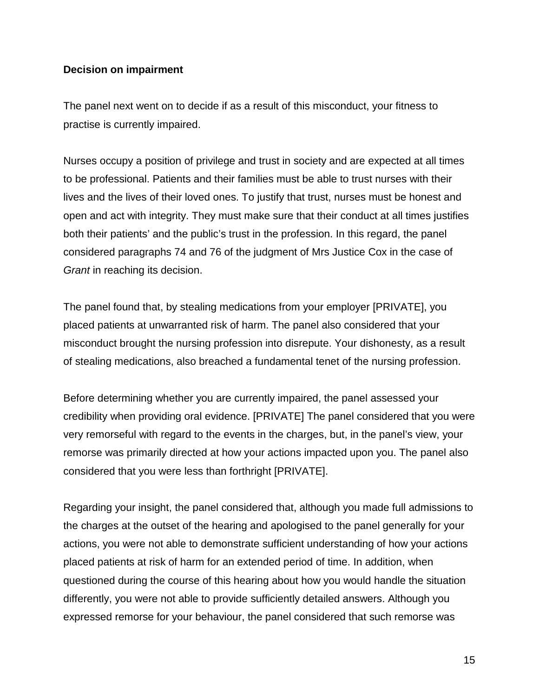#### **Decision on impairment**

The panel next went on to decide if as a result of this misconduct, your fitness to practise is currently impaired.

Nurses occupy a position of privilege and trust in society and are expected at all times to be professional. Patients and their families must be able to trust nurses with their lives and the lives of their loved ones. To justify that trust, nurses must be honest and open and act with integrity. They must make sure that their conduct at all times justifies both their patients' and the public's trust in the profession. In this regard, the panel considered paragraphs 74 and 76 of the judgment of Mrs Justice Cox in the case of *Grant* in reaching its decision.

The panel found that, by stealing medications from your employer [PRIVATE], you placed patients at unwarranted risk of harm. The panel also considered that your misconduct brought the nursing profession into disrepute. Your dishonesty, as a result of stealing medications, also breached a fundamental tenet of the nursing profession.

Before determining whether you are currently impaired, the panel assessed your credibility when providing oral evidence. [PRIVATE] The panel considered that you were very remorseful with regard to the events in the charges, but, in the panel's view, your remorse was primarily directed at how your actions impacted upon you. The panel also considered that you were less than forthright [PRIVATE].

Regarding your insight, the panel considered that, although you made full admissions to the charges at the outset of the hearing and apologised to the panel generally for your actions, you were not able to demonstrate sufficient understanding of how your actions placed patients at risk of harm for an extended period of time. In addition, when questioned during the course of this hearing about how you would handle the situation differently, you were not able to provide sufficiently detailed answers. Although you expressed remorse for your behaviour, the panel considered that such remorse was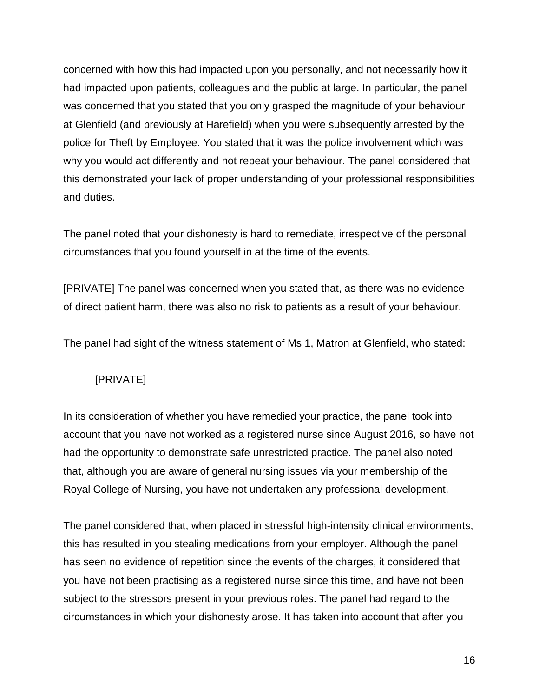concerned with how this had impacted upon you personally, and not necessarily how it had impacted upon patients, colleagues and the public at large. In particular, the panel was concerned that you stated that you only grasped the magnitude of your behaviour at Glenfield (and previously at Harefield) when you were subsequently arrested by the police for Theft by Employee. You stated that it was the police involvement which was why you would act differently and not repeat your behaviour. The panel considered that this demonstrated your lack of proper understanding of your professional responsibilities and duties.

The panel noted that your dishonesty is hard to remediate, irrespective of the personal circumstances that you found yourself in at the time of the events.

[PRIVATE] The panel was concerned when you stated that, as there was no evidence of direct patient harm, there was also no risk to patients as a result of your behaviour.

The panel had sight of the witness statement of Ms 1, Matron at Glenfield, who stated:

# [PRIVATE]

In its consideration of whether you have remedied your practice, the panel took into account that you have not worked as a registered nurse since August 2016, so have not had the opportunity to demonstrate safe unrestricted practice. The panel also noted that, although you are aware of general nursing issues via your membership of the Royal College of Nursing, you have not undertaken any professional development.

The panel considered that, when placed in stressful high-intensity clinical environments, this has resulted in you stealing medications from your employer. Although the panel has seen no evidence of repetition since the events of the charges, it considered that you have not been practising as a registered nurse since this time, and have not been subject to the stressors present in your previous roles. The panel had regard to the circumstances in which your dishonesty arose. It has taken into account that after you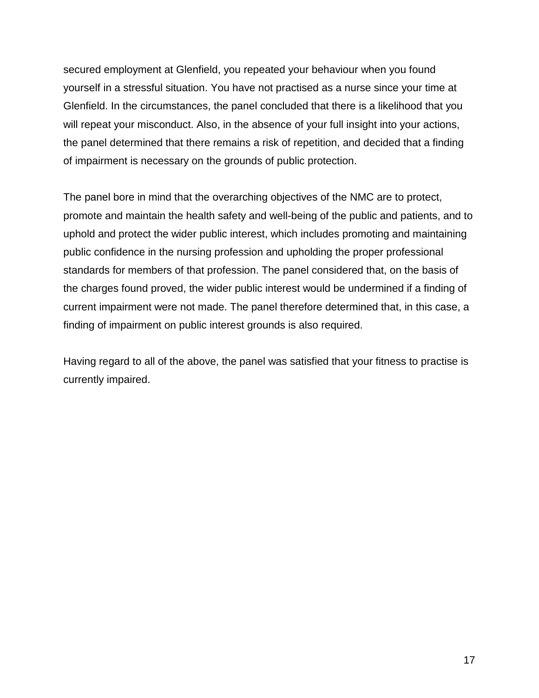secured employment at Glenfield, you repeated your behaviour when you found yourself in a stressful situation. You have not practised as a nurse since your time at Glenfield. In the circumstances, the panel concluded that there is a likelihood that you will repeat your misconduct. Also, in the absence of your full insight into your actions, the panel determined that there remains a risk of repetition, and decided that a finding of impairment is necessary on the grounds of public protection.

The panel bore in mind that the overarching objectives of the NMC are to protect, promote and maintain the health safety and well-being of the public and patients, and to uphold and protect the wider public interest, which includes promoting and maintaining public confidence in the nursing profession and upholding the proper professional standards for members of that profession. The panel considered that, on the basis of the charges found proved, the wider public interest would be undermined if a finding of current impairment were not made. The panel therefore determined that, in this case, a finding of impairment on public interest grounds is also required.

Having regard to all of the above, the panel was satisfied that your fitness to practise is currently impaired.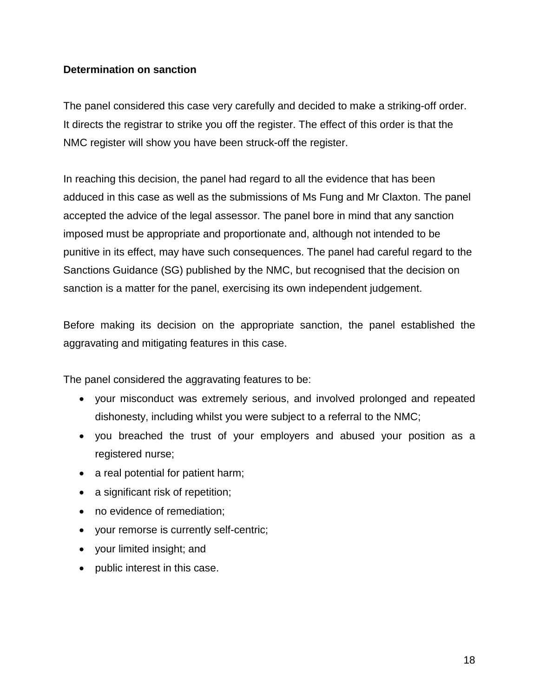#### **Determination on sanction**

The panel considered this case very carefully and decided to make a striking-off order. It directs the registrar to strike you off the register. The effect of this order is that the NMC register will show you have been struck-off the register.

In reaching this decision, the panel had regard to all the evidence that has been adduced in this case as well as the submissions of Ms Fung and Mr Claxton. The panel accepted the advice of the legal assessor. The panel bore in mind that any sanction imposed must be appropriate and proportionate and, although not intended to be punitive in its effect, may have such consequences. The panel had careful regard to the Sanctions Guidance (SG) published by the NMC, but recognised that the decision on sanction is a matter for the panel, exercising its own independent judgement.

Before making its decision on the appropriate sanction, the panel established the aggravating and mitigating features in this case.

The panel considered the aggravating features to be:

- your misconduct was extremely serious, and involved prolonged and repeated dishonesty, including whilst you were subject to a referral to the NMC;
- you breached the trust of your employers and abused your position as a registered nurse;
- a real potential for patient harm;
- a significant risk of repetition;
- no evidence of remediation;
- your remorse is currently self-centric;
- your limited insight; and
- public interest in this case.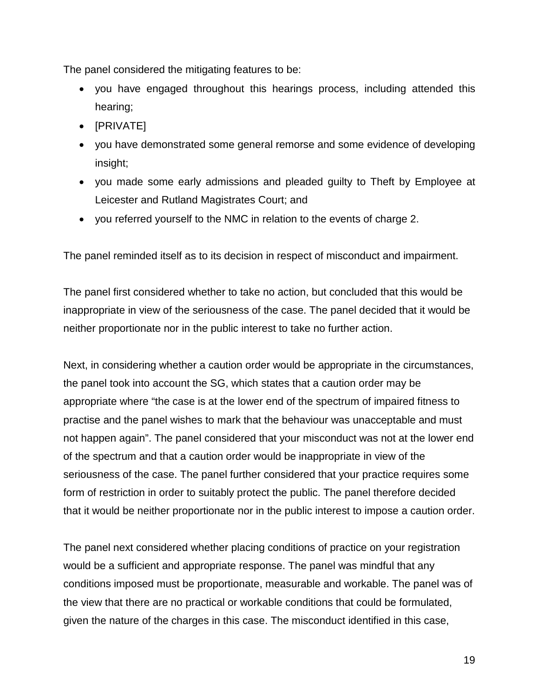The panel considered the mitigating features to be:

- you have engaged throughout this hearings process, including attended this hearing;
- [PRIVATE]
- you have demonstrated some general remorse and some evidence of developing insight;
- you made some early admissions and pleaded guilty to Theft by Employee at Leicester and Rutland Magistrates Court; and
- you referred yourself to the NMC in relation to the events of charge 2.

The panel reminded itself as to its decision in respect of misconduct and impairment.

The panel first considered whether to take no action, but concluded that this would be inappropriate in view of the seriousness of the case. The panel decided that it would be neither proportionate nor in the public interest to take no further action.

Next, in considering whether a caution order would be appropriate in the circumstances, the panel took into account the SG, which states that a caution order may be appropriate where "the case is at the lower end of the spectrum of impaired fitness to practise and the panel wishes to mark that the behaviour was unacceptable and must not happen again". The panel considered that your misconduct was not at the lower end of the spectrum and that a caution order would be inappropriate in view of the seriousness of the case. The panel further considered that your practice requires some form of restriction in order to suitably protect the public. The panel therefore decided that it would be neither proportionate nor in the public interest to impose a caution order.

The panel next considered whether placing conditions of practice on your registration would be a sufficient and appropriate response. The panel was mindful that any conditions imposed must be proportionate, measurable and workable. The panel was of the view that there are no practical or workable conditions that could be formulated, given the nature of the charges in this case. The misconduct identified in this case,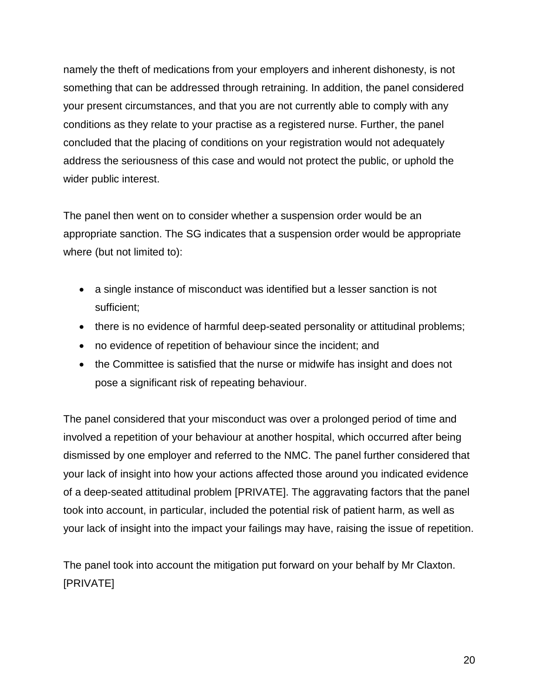namely the theft of medications from your employers and inherent dishonesty, is not something that can be addressed through retraining. In addition, the panel considered your present circumstances, and that you are not currently able to comply with any conditions as they relate to your practise as a registered nurse. Further, the panel concluded that the placing of conditions on your registration would not adequately address the seriousness of this case and would not protect the public, or uphold the wider public interest.

The panel then went on to consider whether a suspension order would be an appropriate sanction. The SG indicates that a suspension order would be appropriate where (but not limited to):

- a single instance of misconduct was identified but a lesser sanction is not sufficient;
- there is no evidence of harmful deep-seated personality or attitudinal problems;
- no evidence of repetition of behaviour since the incident; and
- the Committee is satisfied that the nurse or midwife has insight and does not pose a significant risk of repeating behaviour.

The panel considered that your misconduct was over a prolonged period of time and involved a repetition of your behaviour at another hospital, which occurred after being dismissed by one employer and referred to the NMC. The panel further considered that your lack of insight into how your actions affected those around you indicated evidence of a deep-seated attitudinal problem [PRIVATE]. The aggravating factors that the panel took into account, in particular, included the potential risk of patient harm, as well as your lack of insight into the impact your failings may have, raising the issue of repetition.

The panel took into account the mitigation put forward on your behalf by Mr Claxton. [PRIVATE]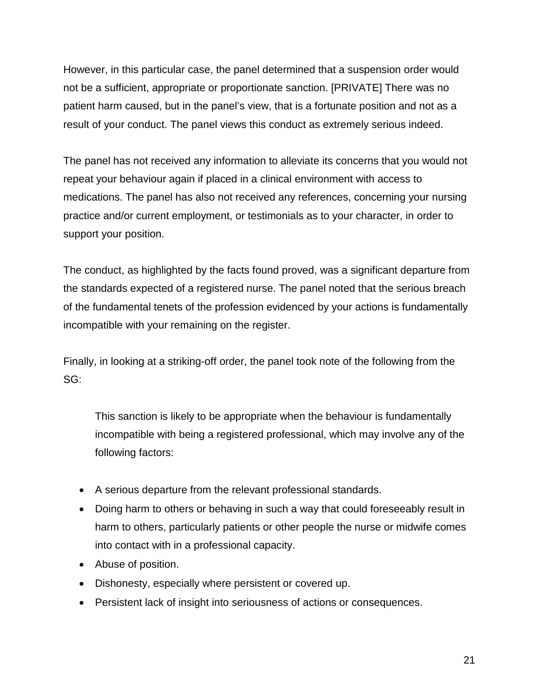However, in this particular case, the panel determined that a suspension order would not be a sufficient, appropriate or proportionate sanction. [PRIVATE] There was no patient harm caused, but in the panel's view, that is a fortunate position and not as a result of your conduct. The panel views this conduct as extremely serious indeed.

The panel has not received any information to alleviate its concerns that you would not repeat your behaviour again if placed in a clinical environment with access to medications. The panel has also not received any references, concerning your nursing practice and/or current employment, or testimonials as to your character, in order to support your position.

The conduct, as highlighted by the facts found proved, was a significant departure from the standards expected of a registered nurse. The panel noted that the serious breach of the fundamental tenets of the profession evidenced by your actions is fundamentally incompatible with your remaining on the register.

Finally, in looking at a striking-off order, the panel took note of the following from the SG:

This sanction is likely to be appropriate when the behaviour is fundamentally incompatible with being a registered professional, which may involve any of the following factors:

- A serious departure from the relevant professional standards.
- Doing harm to others or behaving in such a way that could foreseeably result in harm to others, particularly patients or other people the nurse or midwife comes into contact with in a professional capacity.
- Abuse of position.
- Dishonesty, especially where persistent or covered up.
- Persistent lack of insight into seriousness of actions or consequences.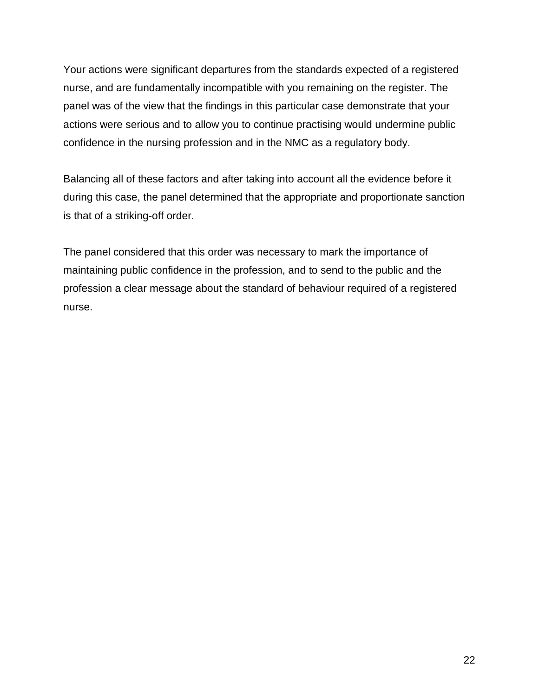Your actions were significant departures from the standards expected of a registered nurse, and are fundamentally incompatible with you remaining on the register. The panel was of the view that the findings in this particular case demonstrate that your actions were serious and to allow you to continue practising would undermine public confidence in the nursing profession and in the NMC as a regulatory body.

Balancing all of these factors and after taking into account all the evidence before it during this case, the panel determined that the appropriate and proportionate sanction is that of a striking-off order.

The panel considered that this order was necessary to mark the importance of maintaining public confidence in the profession, and to send to the public and the profession a clear message about the standard of behaviour required of a registered nurse.